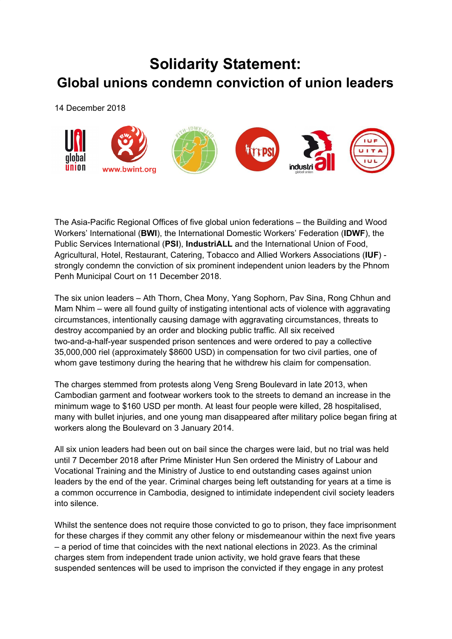## **Solidarity Statement: Global unions condemn conviction of union leaders**

14 December 2018



The Asia-Pacific Regional Offices of five global union federations – the Building and Wood Workers' International (**BWI**), the International Domestic Workers' Federation (**IDWF**), the Public Services International (**PSI**), **IndustriALL** and the International Union of Food, Agricultural, Hotel, Restaurant, Catering, Tobacco and Allied Workers Associations (**IUF**) strongly condemn the conviction of six prominent independent union leaders by the Phnom Penh Municipal Court on 11 December 2018.

The six union leaders – Ath Thorn, Chea Mony, Yang Sophorn, Pav Sina, Rong Chhun and Mam Nhim – were all found guilty of instigating intentional acts of violence with aggravating circumstances, intentionally causing damage with aggravating circumstances, threats to destroy accompanied by an order and blocking public traffic. All six received two-and-a-half-year suspended prison sentences and were ordered to pay a collective 35,000,000 riel (approximately \$8600 USD) in compensation for two civil parties, one of whom gave testimony during the hearing that he withdrew his claim for compensation.

The charges stemmed from protests along Veng Sreng Boulevard in late 2013, when Cambodian garment and footwear workers took to the streets to demand an increase in the minimum wage to \$160 USD per month. At least four people were killed, 28 hospitalised, many with bullet injuries, and one young man disappeared after military police began firing at workers along the Boulevard on 3 January 2014.

All six union leaders had been out on bail since the charges were laid, but no trial was held until 7 December 2018 after Prime Minister Hun Sen ordered the Ministry of Labour and Vocational Training and the Ministry of Justice to end outstanding cases against union leaders by the end of the year. Criminal charges being left outstanding for years at a time is a common occurrence in Cambodia, designed to intimidate independent civil society leaders into silence.

Whilst the sentence does not require those convicted to go to prison, they face imprisonment for these charges if they commit any other felony or misdemeanour within the next five years – a period of time that coincides with the next national elections in 2023. As the criminal charges stem from independent trade union activity, we hold grave fears that these suspended sentences will be used to imprison the convicted if they engage in any protest